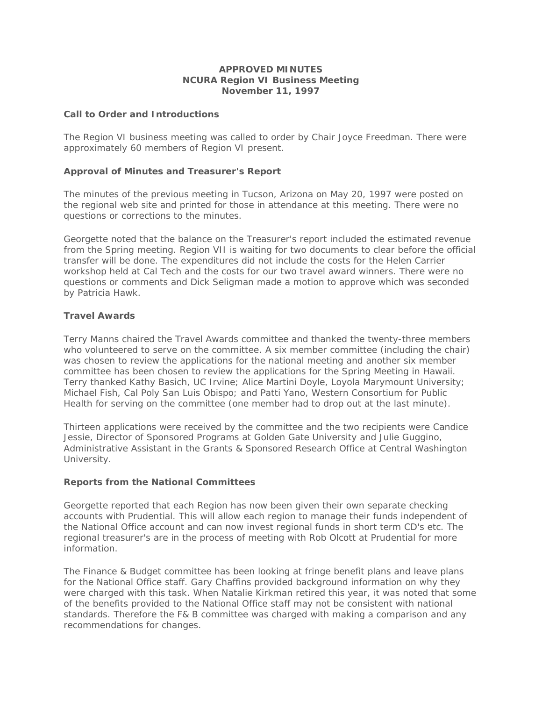# **APPROVED MINUTES NCURA Region VI Business Meeting November 11, 1997**

# **Call to Order and Introductions**

The Region VI business meeting was called to order by Chair Joyce Freedman. There were approximately 60 members of Region VI present.

# **Approval of Minutes and Treasurer's Report**

The minutes of the previous meeting in Tucson, Arizona on May 20, 1997 were posted on the regional web site and printed for those in attendance at this meeting. There were no questions or corrections to the minutes.

Georgette noted that the balance on the Treasurer's report included the estimated revenue from the Spring meeting. Region VII is waiting for two documents to clear before the official transfer will be done. The expenditures did not include the costs for the Helen Carrier workshop held at Cal Tech and the costs for our two travel award winners. There were no questions or comments and Dick Seligman made a motion to approve which was seconded by Patricia Hawk.

# **Travel Awards**

Terry Manns chaired the Travel Awards committee and thanked the twenty-three members who volunteered to serve on the committee. A six member committee (including the chair) was chosen to review the applications for the national meeting and another six member committee has been chosen to review the applications for the Spring Meeting in Hawaii. Terry thanked Kathy Basich, UC Irvine; Alice Martini Doyle, Loyola Marymount University; Michael Fish, Cal Poly San Luis Obispo; and Patti Yano, Western Consortium for Public Health for serving on the committee (one member had to drop out at the last minute).

Thirteen applications were received by the committee and the two recipients were Candice Jessie, Director of Sponsored Programs at Golden Gate University and Julie Guggino, Administrative Assistant in the Grants & Sponsored Research Office at Central Washington University.

#### **Reports from the National Committees**

Georgette reported that each Region has now been given their own separate checking accounts with Prudential. This will allow each region to manage their funds independent of the National Office account and can now invest regional funds in short term CD's etc. The regional treasurer's are in the process of meeting with Rob Olcott at Prudential for more information.

The Finance & Budget committee has been looking at fringe benefit plans and leave plans for the National Office staff. Gary Chaffins provided background information on why they were charged with this task. When Natalie Kirkman retired this year, it was noted that some of the benefits provided to the National Office staff may not be consistent with national standards. Therefore the F& B committee was charged with making a comparison and any recommendations for changes.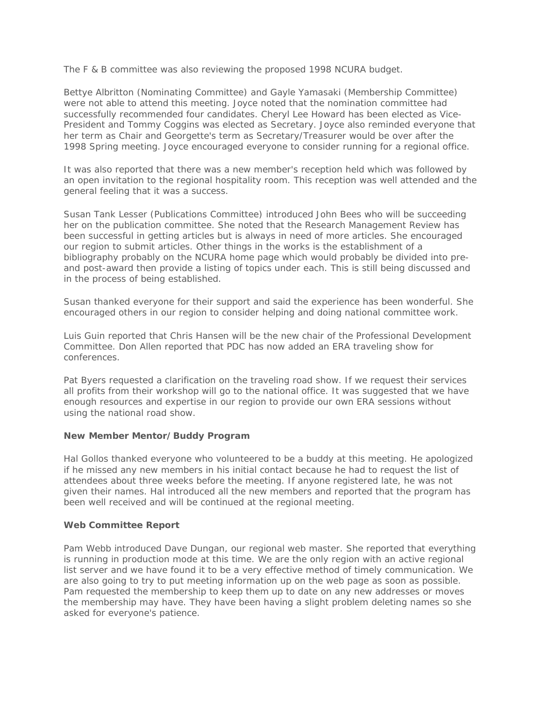The F & B committee was also reviewing the proposed 1998 NCURA budget.

Bettye Albritton (Nominating Committee) and Gayle Yamasaki (Membership Committee) were not able to attend this meeting. Joyce noted that the nomination committee had successfully recommended four candidates. Cheryl Lee Howard has been elected as Vice-President and Tommy Coggins was elected as Secretary. Joyce also reminded everyone that her term as Chair and Georgette's term as Secretary/Treasurer would be over after the 1998 Spring meeting. Joyce encouraged everyone to consider running for a regional office.

It was also reported that there was a new member's reception held which was followed by an open invitation to the regional hospitality room. This reception was well attended and the general feeling that it was a success.

Susan Tank Lesser (Publications Committee) introduced John Bees who will be succeeding her on the publication committee. She noted that the Research Management Review has been successful in getting articles but is always in need of more articles. She encouraged our region to submit articles. Other things in the works is the establishment of a bibliography probably on the NCURA home page which would probably be divided into preand post-award then provide a listing of topics under each. This is still being discussed and in the process of being established.

Susan thanked everyone for their support and said the experience has been wonderful. She encouraged others in our region to consider helping and doing national committee work.

Luis Guin reported that Chris Hansen will be the new chair of the Professional Development Committee. Don Allen reported that PDC has now added an ERA traveling show for conferences.

Pat Byers requested a clarification on the traveling road show. If we request their services all profits from their workshop will go to the national office. It was suggested that we have enough resources and expertise in our region to provide our own ERA sessions without using the national road show.

# **New Member Mentor/Buddy Program**

Hal Gollos thanked everyone who volunteered to be a buddy at this meeting. He apologized if he missed any new members in his initial contact because he had to request the list of attendees about three weeks before the meeting. If anyone registered late, he was not given their names. Hal introduced all the new members and reported that the program has been well received and will be continued at the regional meeting.

# **Web Committee Report**

Pam Webb introduced Dave Dungan, our regional web master. She reported that everything is running in production mode at this time. We are the only region with an active regional list server and we have found it to be a very effective method of timely communication. We are also going to try to put meeting information up on the web page as soon as possible. Pam requested the membership to keep them up to date on any new addresses or moves the membership may have. They have been having a slight problem deleting names so she asked for everyone's patience.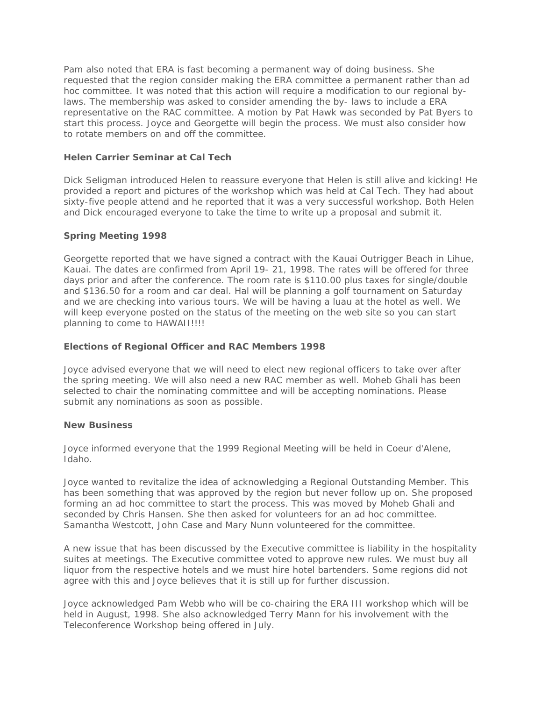Pam also noted that ERA is fast becoming a permanent way of doing business. She requested that the region consider making the ERA committee a permanent rather than ad hoc committee. It was noted that this action will require a modification to our regional bylaws. The membership was asked to consider amending the by- laws to include a ERA representative on the RAC committee. A motion by Pat Hawk was seconded by Pat Byers to start this process. Joyce and Georgette will begin the process. We must also consider how to rotate members on and off the committee.

# **Helen Carrier Seminar at Cal Tech**

Dick Seligman introduced Helen to reassure everyone that Helen is still alive and kicking! He provided a report and pictures of the workshop which was held at Cal Tech. They had about sixty-five people attend and he reported that it was a very successful workshop. Both Helen and Dick encouraged everyone to take the time to write up a proposal and submit it.

### **Spring Meeting 1998**

Georgette reported that we have signed a contract with the Kauai Outrigger Beach in Lihue, Kauai. The dates are confirmed from April 19- 21, 1998. The rates will be offered for three days prior and after the conference. The room rate is \$110.00 plus taxes for single/double and \$136.50 for a room and car deal. Hal will be planning a golf tournament on Saturday and we are checking into various tours. We will be having a luau at the hotel as well. We will keep everyone posted on the status of the meeting on the web site so you can start planning to come to HAWAII!!!!

# **Elections of Regional Officer and RAC Members 1998**

Joyce advised everyone that we will need to elect new regional officers to take over after the spring meeting. We will also need a new RAC member as well. Moheb Ghali has been selected to chair the nominating committee and will be accepting nominations. Please submit any nominations as soon as possible.

#### **New Business**

Joyce informed everyone that the 1999 Regional Meeting will be held in Coeur d'Alene, Idaho.

Joyce wanted to revitalize the idea of acknowledging a Regional Outstanding Member. This has been something that was approved by the region but never follow up on. She proposed forming an ad hoc committee to start the process. This was moved by Moheb Ghali and seconded by Chris Hansen. She then asked for volunteers for an ad hoc committee. Samantha Westcott, John Case and Mary Nunn volunteered for the committee.

A new issue that has been discussed by the Executive committee is liability in the hospitality suites at meetings. The Executive committee voted to approve new rules. We must buy all liquor from the respective hotels and we must hire hotel bartenders. Some regions did not agree with this and Joyce believes that it is still up for further discussion.

Joyce acknowledged Pam Webb who will be co-chairing the ERA III workshop which will be held in August, 1998. She also acknowledged Terry Mann for his involvement with the Teleconference Workshop being offered in July.